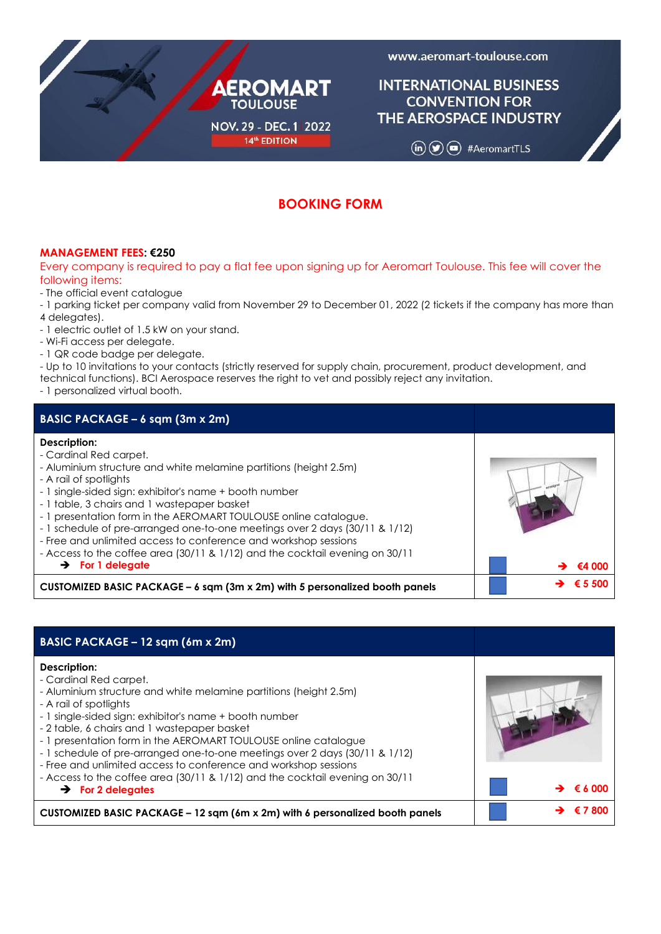

www.aeromart-toulouse.com

# **INTERNATIONAL BUSINESS CONVENTION FOR** THE AEROSPACE INDUSTRY

 $(in)$   $\circledcirc$   $(•)$  #AeromartTLS

# **BOOKING FORM**

# **MANAGEMENT FEES: €250**

Every company is required to pay a flat fee upon signing up for Aeromart Toulouse. This fee will cover the following items:

- The official event catalogue
- 1 parking ticket per company valid from November 29 to December 01, 2022 (2 tickets if the company has more than 4 delegates).
- 1 electric outlet of 1.5 kW on your stand.
- Wi-Fi access per delegate.
- 1 QR code badge per delegate.

- Up to 10 invitations to your contacts (strictly reserved for supply chain, procurement, product development, and technical functions). BCI Aerospace reserves the right to vet and possibly reject any invitation.

- 1 personalized virtual booth.

| BASIC PACKAGE - 6 sqm (3m x 2m)                                                                                                                                                                                                                                                                                                                                                                                                                                                                                                                                                      |        |
|--------------------------------------------------------------------------------------------------------------------------------------------------------------------------------------------------------------------------------------------------------------------------------------------------------------------------------------------------------------------------------------------------------------------------------------------------------------------------------------------------------------------------------------------------------------------------------------|--------|
| Description:<br>- Cardinal Red carpet.<br>- Aluminium structure and white melamine partitions (height 2.5m)<br>- A rail of spotlights<br>- 1 single-sided sign: exhibitor's name + booth number<br>- 1 table, 3 chairs and 1 wastepaper basket<br>- 1 presentation form in the AEROMART TOULOUSE online catalogue.<br>- 1 schedule of pre-arranged one-to-one meetings over 2 days (30/11 & 1/12)<br>- Free and unlimited access to conference and workshop sessions<br>- Access to the coffee area (30/11 & 1/12) and the cocktail evening on 30/11<br>$\rightarrow$ For 1 delegate | €4 000 |
| CUSTOMIZED BASIC PACKAGE - 6 sqm (3m x 2m) with 5 personalized booth panels                                                                                                                                                                                                                                                                                                                                                                                                                                                                                                          |        |

| BASIC PACKAGE – 12 sqm (6m x 2m)                                                                                                                                                                                                                                                                                                                                                                                                                                                                                                                                                     |         |
|--------------------------------------------------------------------------------------------------------------------------------------------------------------------------------------------------------------------------------------------------------------------------------------------------------------------------------------------------------------------------------------------------------------------------------------------------------------------------------------------------------------------------------------------------------------------------------------|---------|
| Description:<br>- Cardinal Red carpet.<br>- Aluminium structure and white melamine partitions (height 2.5m)<br>- A rail of spotlights<br>- 1 single-sided sign: exhibitor's name + booth number<br>- 2 table, 6 chairs and 1 wastepaper basket<br>- 1 presentation form in the AEROMART TOULOUSE online catalogue<br>- 1 schedule of pre-arranged one-to-one meetings over 2 days (30/11 & 1/12)<br>- Free and unlimited access to conference and workshop sessions<br>- Access to the coffee area (30/11 & 1/12) and the cocktail evening on 30/11<br>$\rightarrow$ For 2 delegates | € 6.000 |
| CUSTOMIZED BASIC PACKAGE – 12 sqm (6m x 2m) with 6 personalized booth panels                                                                                                                                                                                                                                                                                                                                                                                                                                                                                                         |         |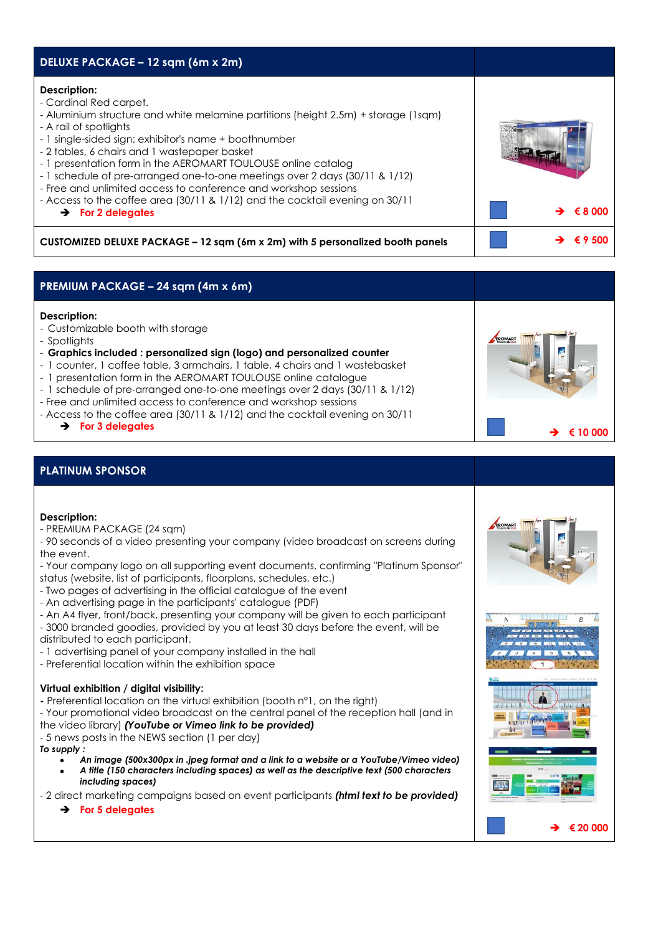| DELUXE PACKAGE - 12 sqm (6m x 2m)                                                                                                                                                                                                                                                                                                                                                                                                                                                                                                                                                                   |         |
|-----------------------------------------------------------------------------------------------------------------------------------------------------------------------------------------------------------------------------------------------------------------------------------------------------------------------------------------------------------------------------------------------------------------------------------------------------------------------------------------------------------------------------------------------------------------------------------------------------|---------|
| Description:<br>- Cardinal Red carpet.<br>- Aluminium structure and white melamine partitions (height 2.5m) + storage (1sgm)<br>- A rail of spotlights<br>- 1 single-sided sign: exhibitor's name + boothnumber<br>- 2 tables, 6 chairs and 1 wastepaper basket<br>- 1 presentation form in the AEROMART TOULOUSE online catalog<br>- 1 schedule of pre-arranged one-to-one meetings over 2 days (30/11 & 1/12)<br>- Free and unlimited access to conference and workshop sessions<br>- Access to the coffee area (30/11 & 1/12) and the cocktail evening on 30/11<br>$\rightarrow$ For 2 delegates | €800    |
| CUSTOMIZED DELUXE PACKAGE – 12 sqm (6m x 2m) with 5 personalized booth panels                                                                                                                                                                                                                                                                                                                                                                                                                                                                                                                       | € 9 500 |

# **PREMIUM PACKAGE – 24 sqm (4m x 6m)**

# **Description:**

- Customizable booth with storage
- Spotlights
- **Graphics included : personalized sign (logo) and personalized counter**
- 1 counter, 1 coffee table, 3 armchairs, 1 table, 4 chairs and 1 wastebasket
- 1 presentation form in the AEROMART TOULOUSE online catalogue
- 1 schedule of pre-arranged one-to-one meetings over 2 days (30/11 & 1/12)
- Free and unlimited access to conference and workshop sessions
- Access to the coffee area (30/11 & 1/12) and the cocktail evening on 30/11
	- ➔ **For 3 delegates** ➔ **€ 10 000**

# **PLATINUM SPONSOR**

## **Description:**

- PREMIUM PACKAGE (24 sqm)

- 90 seconds of a video presenting your company (video broadcast on screens during the event.

- Your company logo on all supporting event documents, confirming "Platinum Sponsor"

- status (website, list of participants, floorplans, schedules, etc.) - Two pages of advertising in the official catalogue of the event
- 
- An advertising page in the participants' catalogue (PDF)
- An A4 flyer, front/back, presenting your company will be given to each participant

- 3000 branded goodies, provided by you at least 30 days before the event, will be distributed to each participant.

- 1 advertising panel of your company installed in the hall
- Preferential location within the exhibition space

## **Virtual exhibition / digital visibility:**

**-** Preferential location on the virtual exhibition (booth n°1, on the right)

- Your promotional video broadcast on the central panel of the reception hall (and in the video library) *(YouTube or Vimeo link to be provided)*

- 5 news posts in the NEWS section (1 per day)

- *To supply :*
	- *An image (500x300px in .jpeg format and a link to a website or a YouTube/Vimeo video)*
	- *A title (150 characters including spaces) as well as the descriptive text (500 characters including spaces)*

- 2 direct marketing campaigns based on event participants *(html text to be provided)*

➔ **For 5 delegates**





➔ **€ 20 000**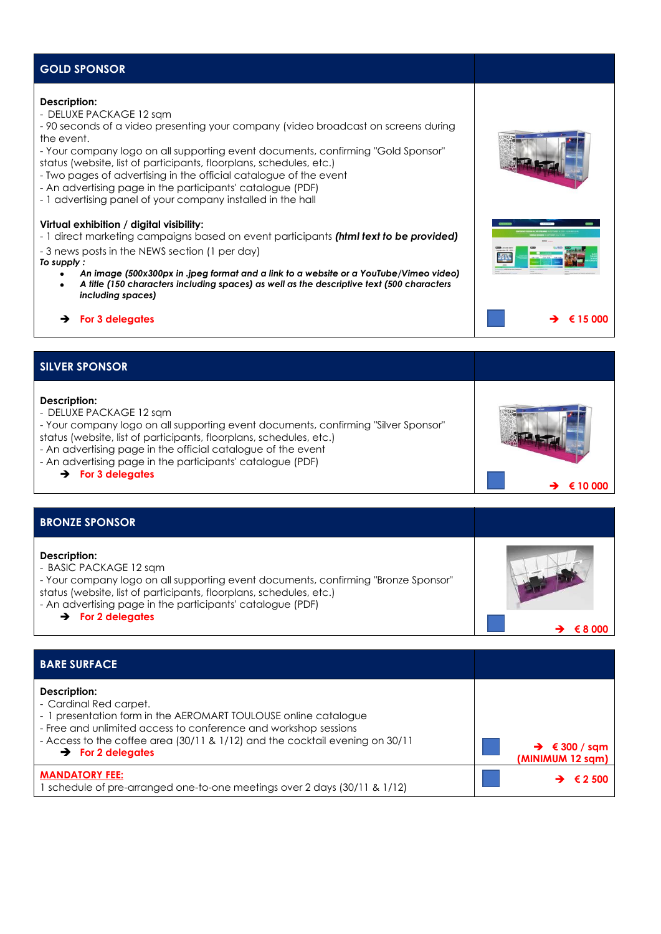# **GOLD SPONSOR**

### **Description:**

- DELUXE PACKAGE 12 sqm

- 90 seconds of a video presenting your company (video broadcast on screens during the event.

- Your company logo on all supporting event documents, confirming "Gold Sponsor" status (website, list of participants, floorplans, schedules, etc.)

- Two pages of advertising in the official catalogue of the event
- An advertising page in the participants' catalogue (PDF)

- 1 advertising panel of your company installed in the hall

### **Virtual exhibition / digital visibility:**

- 1 direct marketing campaigns based on event participants *(html text to be provided)*

- 3 news posts in the NEWS section (1 per day)
- *To supply :*
	- *An image (500x300px in .jpeg format and a link to a website or a YouTube/Vimeo video)*
	- *A title (150 characters including spaces) as well as the descriptive text (500 characters including spaces)*
- ➔ **For 3 delegates** ➔ **€ 15 000**

➔ **€ 10 000** 

# **SILVER SPONSOR**

### **Description:**

- DELUXE PACKAGE 12 sqm

- Your company logo on all supporting event documents, confirming "Silver Sponsor" status (website, list of participants, floorplans, schedules, etc.)

- An advertising page in the official catalogue of the event
- An advertising page in the participants' catalogue (PDF)
	- ➔ **For 3 delegates**

## **BRONZE SPONSOR**

| <b>BRONZE SPONSOR</b>                                                                                                                                                                                                                                                                              |    |
|----------------------------------------------------------------------------------------------------------------------------------------------------------------------------------------------------------------------------------------------------------------------------------------------------|----|
| Description:<br>- BASIC PACKAGE 12 sqm<br>- Your company logo on all supporting event documents, confirming "Bronze Sponsor"<br>status (website, list of participants, floorplans, schedules, etc.)<br>- An advertising page in the participants' catalogue (PDF)<br>$\rightarrow$ For 2 delegates | €X |
|                                                                                                                                                                                                                                                                                                    |    |

| <b>BARE SURFACE</b>                                                                                                                                                                                                                                                                           |                                               |
|-----------------------------------------------------------------------------------------------------------------------------------------------------------------------------------------------------------------------------------------------------------------------------------------------|-----------------------------------------------|
| Description:<br>- Cardinal Red carpet.<br>- 1 presentation form in the AEROMART TOULOUSE online catalogue<br>- Free and unlimited access to conference and workshop sessions<br>- Access to the coffee area (30/11 & 1/12) and the cocktail evening on 30/11<br>$\rightarrow$ For 2 delegates | $\rightarrow$ € 300 / sqm<br>(MINIMUM 12 sqm) |
| <b>MANDATORY FEE:</b><br>1 schedule of pre-arranged one-to-one meetings over 2 days (30/11 & 1/12)                                                                                                                                                                                            | € 2 500                                       |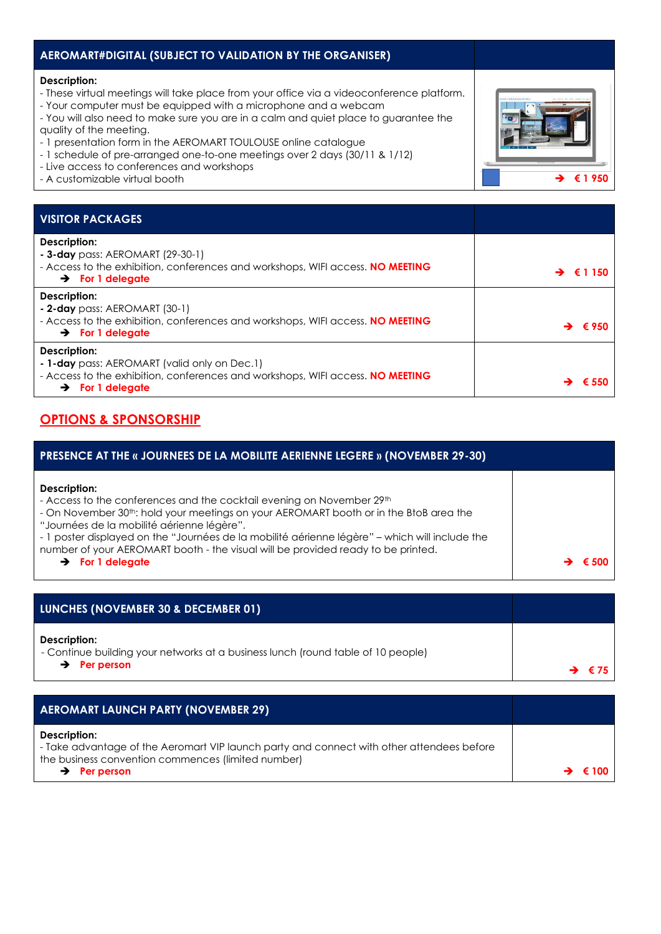| AEROMART#DIGITAL (SUBJECT TO VALIDATION BY THE ORGANISER)                                                                                                                                                                                                                                                                                                                                                                                                                                                                         |         |
|-----------------------------------------------------------------------------------------------------------------------------------------------------------------------------------------------------------------------------------------------------------------------------------------------------------------------------------------------------------------------------------------------------------------------------------------------------------------------------------------------------------------------------------|---------|
| Description:<br>- These virtual meetings will take place from your office via a videoconference platform.<br>- Your computer must be equipped with a microphone and a webcam<br>- You will also need to make sure you are in a calm and quiet place to guarantee the<br>quality of the meeting.<br>- 1 presentation form in the AEROMART TOULOUSE online catalogue<br>- 1 schedule of pre-arranged one-to-one meetings over 2 days (30/11 & 1/12)<br>- Live access to conferences and workshops<br>- A customizable virtual booth |         |
|                                                                                                                                                                                                                                                                                                                                                                                                                                                                                                                                   |         |
| <b>VISITOR PACKAGES</b>                                                                                                                                                                                                                                                                                                                                                                                                                                                                                                           |         |
| Description:<br>- 3-day pass: AEROMART (29-30-1)<br>- Access to the exhibition, conferences and workshops, WIFI access. NO MEETING<br>$\rightarrow$ For 1 delegate                                                                                                                                                                                                                                                                                                                                                                | € 1 150 |
| Description:<br>- 2-day pass: AEROMART $(30-1)$<br>- Access to the exhibition, conferences and workshops, WIFI access. NO MEETING<br>$\rightarrow$ For 1 delegate                                                                                                                                                                                                                                                                                                                                                                 |         |
| Description:                                                                                                                                                                                                                                                                                                                                                                                                                                                                                                                      |         |

**- 1-day** pass: AEROMART (valid only on Dec.1) - Access to the exhibition, conferences and workshops, WIFI access. **NO MEETING** ➔ **For 1 delegate** ➔ **€ <sup>550</sup>**

# **OPTIONS & SPONSORSHIP**

| <b>PRESENCE AT THE « JOURNEES DE LA MOBILITE AERIENNE LEGERE » (NOVEMBER 29-30)</b>                                                                                                                                                                                                                                                                                                                                                                             |  |
|-----------------------------------------------------------------------------------------------------------------------------------------------------------------------------------------------------------------------------------------------------------------------------------------------------------------------------------------------------------------------------------------------------------------------------------------------------------------|--|
| Description:<br>- Access to the conferences and the cocktail evening on November 29th<br>- On November 30 <sup>th</sup> : hold your meetings on your AEROMART booth or in the BtoB area the<br>"Journées de la mobilité aérienne légère".<br>- 1 poster displayed on the "Journées de la mobilité aérienne légère" – which will include the<br>number of your AEROMART booth - the visual will be provided ready to be printed.<br>$\rightarrow$ For 1 delegate |  |

| <b>LUNCHES (NOVEMBER 30 &amp; DECEMBER 01)</b>                                                                               |                     |
|------------------------------------------------------------------------------------------------------------------------------|---------------------|
| Description:<br>- Continue building your networks at a business lunch (round table of 10 people)<br>$\rightarrow$ Per person | $\rightarrow$ $675$ |

| <b>AEROMART LAUNCH PARTY (NOVEMBER 29)</b>                                                                                                                                                  |                              |
|---------------------------------------------------------------------------------------------------------------------------------------------------------------------------------------------|------------------------------|
| Description:<br>- Take advantage of the Aeromart VIP launch party and connect with other attendees before<br>the business convention commences (limited number)<br>$\rightarrow$ Per person | $\rightarrow$ $\epsilon$ 100 |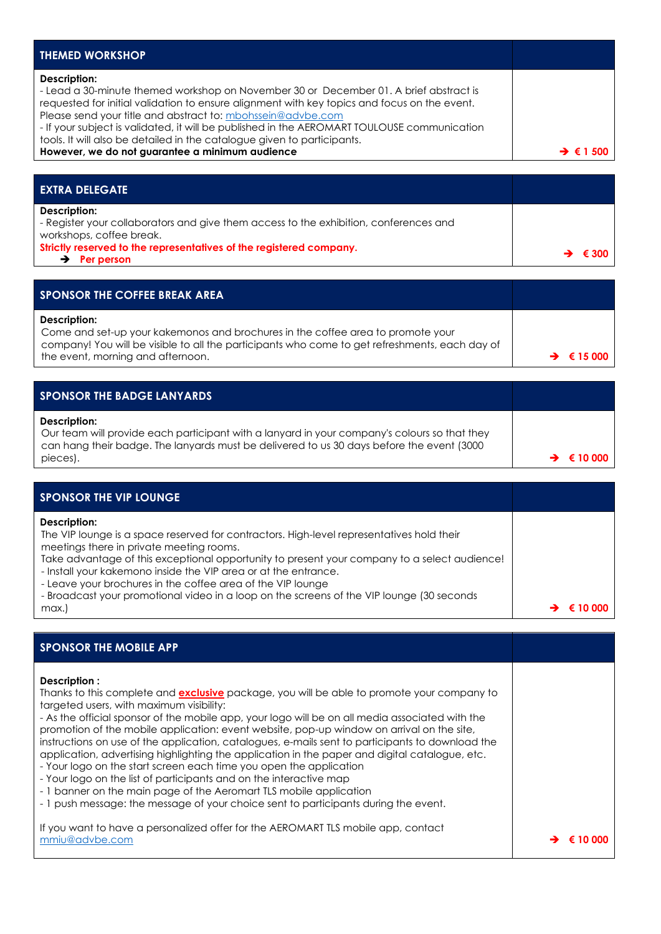| <b>THEMED WORKSHOP</b>                                                                                                                                                                                                                                                                                                                                                                                                                                                                            |                       |
|---------------------------------------------------------------------------------------------------------------------------------------------------------------------------------------------------------------------------------------------------------------------------------------------------------------------------------------------------------------------------------------------------------------------------------------------------------------------------------------------------|-----------------------|
| Description:<br>- Lead a 30-minute themed workshop on November 30 or December 01. A brief abstract is<br>requested for initial validation to ensure alignment with key topics and focus on the event.<br>Please send your title and abstract to: mbohssein@advbe.com<br>- If your subject is validated, it will be published in the AEROMART TOULOUSE communication<br>tools. It will also be detailed in the catalogue given to participants.<br>However, we do not guarantee a minimum audience | $\rightarrow$ 6 1 500 |
|                                                                                                                                                                                                                                                                                                                                                                                                                                                                                                   |                       |

| <b>EXTRA DELEGATE</b>                                                                                                             |                         |
|-----------------------------------------------------------------------------------------------------------------------------------|-------------------------|
| Description:<br>- Register your collaborators and give them access to the exhibition, conferences and<br>workshops, coffee break. |                         |
| Strictly reserved to the representatives of the registered company.<br>Per person                                                 | $\rightarrow$ $\in$ 300 |

| SPONSOR THE COFFEE BREAK AREA                                                                                                                                                                                                          |                            |
|----------------------------------------------------------------------------------------------------------------------------------------------------------------------------------------------------------------------------------------|----------------------------|
| Description:<br>Come and set-up your kakemonos and brochures in the coffee area to promote your<br>company! You will be visible to all the participants who come to get refreshments, each day of<br>the event, morning and afternoon. | $\rightarrow$ $\in$ 15 000 |

| <b>SPONSOR THE BADGE LANYARDS</b>                                                                                                                                                                                      |                            |
|------------------------------------------------------------------------------------------------------------------------------------------------------------------------------------------------------------------------|----------------------------|
| Description:<br>Our team will provide each participant with a lanyard in your company's colours so that they<br>can hang their badge. The lanyards must be delivered to us 30 days before the event (3000)<br>pieces). | $\rightarrow$ $\in$ 10 000 |

| <b>SPONSOR THE VIP LOUNGE</b>                                                                                                                                                                                                                                                                                                                                                                                                                                                        |  |
|--------------------------------------------------------------------------------------------------------------------------------------------------------------------------------------------------------------------------------------------------------------------------------------------------------------------------------------------------------------------------------------------------------------------------------------------------------------------------------------|--|
| Description:<br>The VIP lounge is a space reserved for contractors. High-level representatives hold their<br>meetings there in private meeting rooms.<br>Take advantage of this exceptional opportunity to present your company to a select audience!<br>- Install your kakemono inside the VIP area or at the entrance.<br>- Leave your brochures in the coffee area of the VIP lounge<br>- Broadcast your promotional video in a loop on the screens of the VIP lounge (30 seconds |  |
| max.)                                                                                                                                                                                                                                                                                                                                                                                                                                                                                |  |

| <b>SPONSOR THE MOBILE APP</b>                                                                                                                                                                                                                                                                                                                                                                                                                                                                                                                                                                                                                                                                                                                                                                                                                                                |          |
|------------------------------------------------------------------------------------------------------------------------------------------------------------------------------------------------------------------------------------------------------------------------------------------------------------------------------------------------------------------------------------------------------------------------------------------------------------------------------------------------------------------------------------------------------------------------------------------------------------------------------------------------------------------------------------------------------------------------------------------------------------------------------------------------------------------------------------------------------------------------------|----------|
| Description:<br>Thanks to this complete and <b>exclusive</b> package, you will be able to promote your company to<br>targeted users, with maximum visibility:<br>- As the official sponsor of the mobile app, your logo will be on all media associated with the<br>promotion of the mobile application: event website, pop-up window on arrival on the site,<br>instructions on use of the application, catalogues, e-mails sent to participants to download the<br>application, advertising highlighting the application in the paper and digital catalogue, etc.<br>- Your logo on the start screen each time you open the application<br>- Your logo on the list of participants and on the interactive map<br>- 1 banner on the main page of the Aeromart TLS mobile application<br>- 1 push message: the message of your choice sent to participants during the event. |          |
| If you want to have a personalized offer for the AEROMART TLS mobile app, contact<br>mmiu@advbe.com                                                                                                                                                                                                                                                                                                                                                                                                                                                                                                                                                                                                                                                                                                                                                                          | € 10.000 |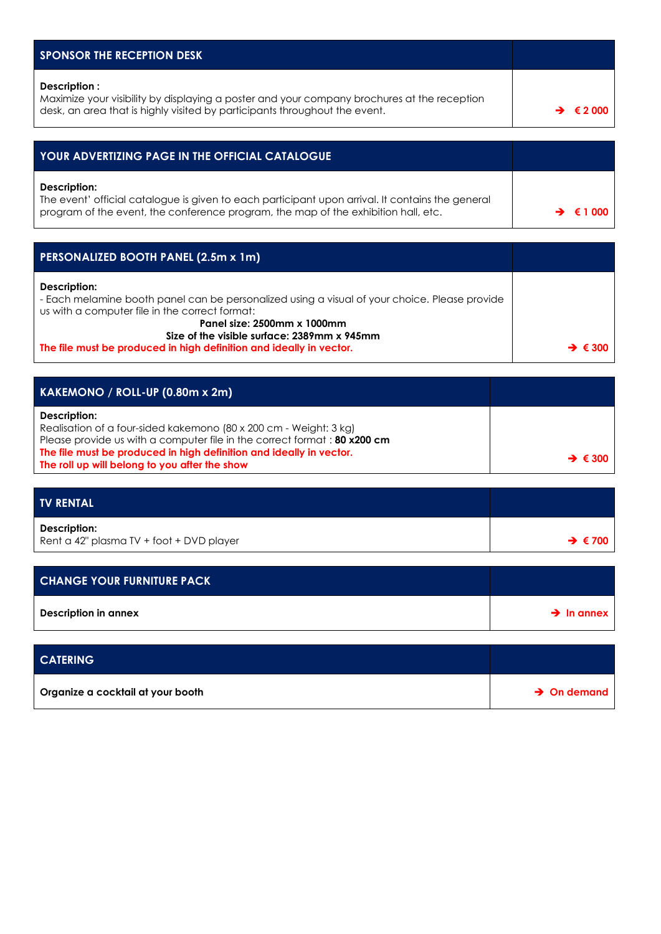| <b>SPONSOR THE RECEPTION DESK</b>                                                                                                                                                                      |  |
|--------------------------------------------------------------------------------------------------------------------------------------------------------------------------------------------------------|--|
| Description:<br>Maximize your visibility by displaying a poster and your company brochures at the reception<br>desk, an area that is highly visited by participants throughout the event.              |  |
|                                                                                                                                                                                                        |  |
| <b>YOUR ADVERTIZING PAGE IN THE OFFICIAL CATALOGUE</b>                                                                                                                                                 |  |
| Description:<br>The event' official catalogue is given to each participant upon arrival. It contains the general<br>program of the event, the conference program, the map of the exhibition hall, etc. |  |

| <b>PERSONALIZED BOOTH PANEL (2.5m x 1m)</b>                                                                                                                                                    |                            |
|------------------------------------------------------------------------------------------------------------------------------------------------------------------------------------------------|----------------------------|
| Description:<br>- Each melamine booth panel can be personalized using a visual of your choice. Please provide<br>us with a computer file in the correct format:<br>Panel size: 2500mm x 1000mm |                            |
| Size of the visible surface: 2389mm x 945mm                                                                                                                                                    |                            |
| The file must be produced in high definition and ideally in vector.                                                                                                                            | $\rightarrow \epsilon$ 300 |

| $KAKEMONO / ROLL-UP (0.80m x 2m)$                                                                                                                                                                                                                                                     |                         |
|---------------------------------------------------------------------------------------------------------------------------------------------------------------------------------------------------------------------------------------------------------------------------------------|-------------------------|
| Description:<br>Realisation of a four-sided kakemono (80 x 200 cm - Weight: 3 kg)<br>Please provide us with a computer file in the correct format: 80 x200 cm<br>The file must be produced in high definition and ideally in vector.<br>The roll up will belong to you after the show | $\rightarrow$ $\in$ 300 |

| <b>TV RENTAL</b>                                         |                              |
|----------------------------------------------------------|------------------------------|
| Description:<br>Rent a 42" plasma TV + foot + DVD player | $\rightarrow$ $\epsilon$ 700 |

| <b>CHANGE YOUR FURNITURE PACK</b> |                        |
|-----------------------------------|------------------------|
| Description in annex              | $\rightarrow$ In annex |

| <b>CATERING</b>                   |                         |
|-----------------------------------|-------------------------|
| Organize a cocktail at your booth | $\rightarrow$ On demand |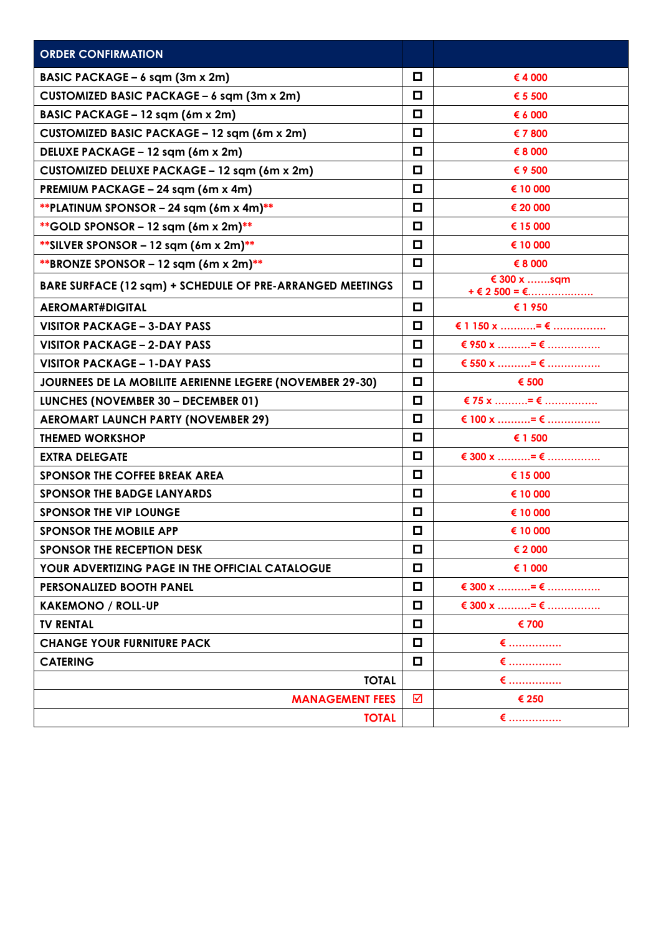| <b>ORDER CONFIRMATION</b>                                 |        |                                      |
|-----------------------------------------------------------|--------|--------------------------------------|
| BASIC PACKAGE - 6 sqm (3m x 2m)                           | □      | €4 000                               |
| CUSTOMIZED BASIC PACKAGE - 6 sqm (3m x 2m)                | □      | € 5 500                              |
| BASIC PACKAGE - 12 sqm (6m x 2m)                          | □      | € 6 000                              |
| CUSTOMIZED BASIC PACKAGE - 12 sqm (6m x 2m)               | О      | € 7 800                              |
| DELUXE PACKAGE - 12 sqm (6m x 2m)                         | О      | € 8 000                              |
| CUSTOMIZED DELUXE PACKAGE - 12 sqm (6m x 2m)              | □      | € 9 500                              |
| PREMIUM PACKAGE - 24 sqm (6m x 4m)                        | □      | € 10 000                             |
| **PLATINUM SPONSOR - 24 sqm $(6m \times 4m)$ **           | $\Box$ | € 20 000                             |
| ** GOLD SPONSOR - 12 sqm $(6m \times 2m)$ **              | О      | € 15 000                             |
| ** SILVER SPONSOR - 12 sqm $(6m \times 2m)$ **            | О      | € 10 000                             |
| **BRONZE SPONSOR - 12 sqm $(6m \times 2m)$ **             | $\Box$ | € 8 000                              |
| BARE SURFACE (12 sqm) + SCHEDULE OF PRE-ARRANGED MEETINGS | О      | € 300 x sqm<br>$+ \in 2$ 500 = $\in$ |
| <b>AEROMART#DIGITAL</b>                                   | $\Box$ | € 1950                               |
| <b>VISITOR PACKAGE - 3-DAY PASS</b>                       | □      | € 1 150 x = €                        |
| <b>VISITOR PACKAGE - 2-DAY PASS</b>                       | О      | € 950 x = €                          |
| <b>VISITOR PACKAGE - 1-DAY PASS</b>                       | □      | € 550 x = €                          |
| JOURNEES DE LA MOBILITE AERIENNE LEGERE (NOVEMBER 29-30)  | О      | € 500                                |
| LUNCHES (NOVEMBER 30 - DECEMBER 01)                       | □      | € 75 x = €                           |
| <b>AEROMART LAUNCH PARTY (NOVEMBER 29)</b>                | $\Box$ | € 100 x = €                          |
| <b>THEMED WORKSHOP</b>                                    | О      | € 1 500                              |
| <b>EXTRA DELEGATE</b>                                     | О      | € 300 x = €                          |
| SPONSOR THE COFFEE BREAK AREA                             | □      | € 15 000                             |
| <b>SPONSOR THE BADGE LANYARDS</b>                         | $\Box$ | € 10 000                             |
| <b>SPONSOR THE VIP LOUNGE</b>                             | $\Box$ | € 10 000                             |
| <b>SPONSOR THE MOBILE APP</b>                             | □      | € 10 000                             |
| SPONSOR THE RECEPTION DESK                                | $\Box$ | € 2 000                              |
| YOUR ADVERTIZING PAGE IN THE OFFICIAL CATALOGUE           | О      | € 1 000                              |
| PERSONALIZED BOOTH PANEL                                  | □      | € 300 x = €                          |
| <b>KAKEMONO / ROLL-UP</b>                                 | □      | € 300 x = €                          |
| <b>TV RENTAL</b>                                          | О      | € 700                                |
| <b>CHANGE YOUR FURNITURE PACK</b>                         | $\Box$ | $\epsilon$                           |
| <b>CATERING</b>                                           | O      | € ………………                             |
| <b>TOTAL</b>                                              |        | € ………………                             |
| <b>MANAGEMENT FEES</b>                                    | ☑      | € 250                                |
| <b>TOTAL</b>                                              |        | $\epsilon$                           |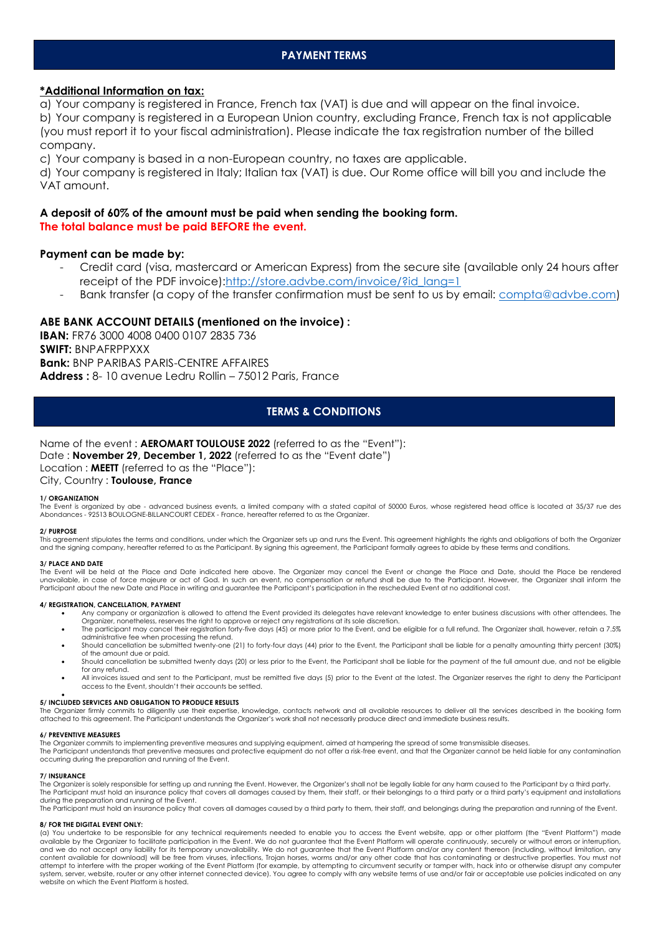# **\*Additional Information on tax:**

a) Your company is registered in France, French tax (VAT) is due and will appear on the final invoice. b) Your company is registered in a European Union country, excluding France, French tax is not applicable (you must report it to your fiscal administration). Please indicate the tax registration number of the billed company.

c) Your company is based in a non-European country, no taxes are applicable.

d) Your company is registered in Italy; Italian tax (VAT) is due. Our Rome office will bill you and include the VAT amount.

# **A deposit of 60% of the amount must be paid when sending the booking form. The total balance must be paid BEFORE the event.**

## **Payment can be made by:**

- Credit card (visa, mastercard or American Express) from the secure site (available only 24 hours after receipt of the PDF invoice):http://store.advbe.com/invoice/?id\_lang=1
- Bank transfer (a copy of the transfer confirmation must be sent to us by email: [compta@advbe.com\)](mailto:compta@advbe.com)

### **ABE BANK ACCOUNT DETAILS (mentioned on the invoice) :**

**IBAN:** FR76 3000 4008 0400 0107 2835 736 **SWIFT:** BNPAFRPPXXX **Bank:** BNP PARIBAS PARIS-CENTRE AFFAIRES **Address :** 8- 10 avenue Ledru Rollin – 75012 Paris, France

# **TERMS & CONDITIONS**

Name of the event : **AEROMART TOULOUSE 2022** (referred to as the "Event"): Date : **November 29, December 1, 2022** (referred to as the "Event date") Location : **MEETT** (referred to as the "Place"): City, Country : **Toulouse, France**

#### **1/ ORGANIZATION**

The Event is organized by abe - advanced business events, a limited company with a stated capital of 50000 Euros, whose registered head office is located at 35/37 rue des Abondances - 92513 BOULOGNE-BILLANCOURT CEDEX - France, hereafter referred to as the Organizer.

#### **2/ PURPOSE**

This agreement stipulates the terms and conditions, under which the Organizer sets up and runs the Event. This agreement highlights the rights and obligations of both the Organizer and the signing company, hereafter referred to as the Participant. By signing this agreement, the Participant formally agrees to abide by these terms and conditions.

#### **3/ PLACE AND DATE**

The Event will be held at the Place and Date indicated here above. The Organizer may cancel the Event or change the Place and Date, should the Place be rendered unavailable, in case of force majeure or act of God. In such an event, no compensation or refund shall be due to the Participant. However, the Organizer shall inform the Participant about the new Date and Place in writing and guarantee the Participant's participation in the rescheduled Event at no additional cost.

#### **4/ REGISTRATION, CANCELLATION, PAYMENT**

- Any company or organization is allowed to attend the Event provided its delegates have relevant knowledge to enter business discussions with other attendees. The
	- Organizer, nonetheless, reserves the right to approve or reject any registrations at its sole discretion.<br>The participant may cancel their registration forty-five days (45) or more prior to the Event, and be eligible for a administrative fee when processing the refund.
	- Should cancellation be submitted twenty-one (21) to forty-four days (44) prior to the Event, the Participant shall be liable for a penalty amounting thirty percent (30%) of the amount due or paid.
	- Should cancellation be submitted twenty days (20) or less prior to the Event, the Participant shall be liable for the payment of the full amount due, and not be eligible for any refund.
	- All invoices issued and sent to the Participant, must be remitted five days (5) prior to the Event at the latest. The Organizer reserves the right to deny the Participant access to the Event, shouldn't their accounts be settled.

#### • **5/ INCLUDED SERVICES AND OBLIGATION TO PRODUCE RESULTS**

The Organizer firmly commits to diligently use their expertise, knowledge, contacts network and all available resources to deliver all the services described in the booking form<br>attached to this agreement. The Participant

#### **6/ PREVENTIVE MEASURES**

The Organizer commits to implementing preventive measures and supplying equipment, aimed at hampering the spread of some transmissible diseases

The Participant understands that preventive measures and protective equipment do not offer a risk-free event, and that the Organizer cannot be held liable for any contamination occurring during the preparation and running of the Event.

#### **7/ INSURANCE**

The Organizer is solely responsible for setting up and running the Event. However, the Organizer's shall not be legally liable for any harm caused to the Participant by a third party. The Participant must hold an insurance policy that covers all damages caused by them, their staff, or their belongings to a third party or a third party's equipment and installations<br>during the preparation and running of t

The Participant must hold an insurance policy that covers all damages caused by a third party to them, their staff, and belongings during the preparation and running of the Event.

#### **8/ FOR THE DIGITAL EVENT ONLY:**

(a) You undertake to be responsible for any technical requirements needed to enable you to access the Event website, app or other platform (the "Event Platform") made<br>available by the Organizer to facilitate participation and we do not accept any liability for its temporary unavailability. We do not guarantee that the Event Platform and/or any content thereon (including, without limitation, any content available for download) will be free from viruses, infections, Trojan horses, worms and/or any other code that has contaminating or destructive properties. You must not attempt to interfere with the proper working of the Event Platform (for example, by attempting to circumvent security or tamper with, hack into or otherwise disrupt any computer system, server, website, router or any other internet connected device). You agree to comply with any website terms of use and/or fair or acceptable use policies indicated on any website on which the Event Platform is hosted.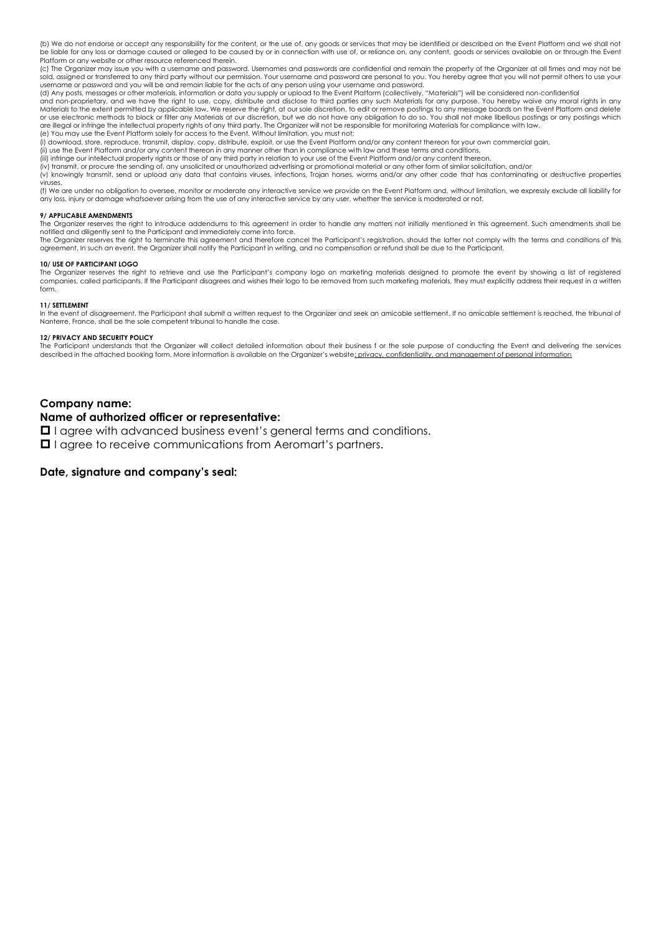(b) We do not endorse or accept any responsibility for the content, or the use of, any goods or services that may be identified or described on the Event Platform and we shall not be liable for any loss or damage caused or alleged to be caused by or in connection with use of, or reliance on, any content, goods or services available on or through the Event Platform or any website or other resource referenced therein.

(c) The Organizer may issue you with a username and password. Usernames and passwords are confidential and remain the property of the Organizer at all times and may not be sold, assigned or transferred to any third party without our permission. Your username and password are personal to you. You hereby agree that you will not permit others to use your username or password and you will be and remain liable for the acts of any person using your username and password.

(d) Any posts, messages or other materials, information or data you supply or upload to the Event Platform (collectively, "Materials") will be considered non-confidential

and non-proprietary, and we have the right to use, copy, distribute and disclose to third parties any such Materials for any purpose. You hereby waive any moral rights in any<br>Materials to the extent permitted by applicable or use electronic methods to block or filter any Materials at our discretion, but we do not have any obligation to do so. You shall not make libellous postings or any postings which are illegal or infringe the intellectual property rights of any third party. The Organizer will not be responsible for monitoring Materials for compliance with law. (e) You may use the Event Platform solely for access to the Event. Without limitation, you must not:

(i) download, store, reproduce, transmit, display, copy, distribute, exploit, or use the Event Platform and/or any content thereon for your own commercial gain,

(ii) use the Event Platform and/or any content thereon in any manner other than in compliance with law and these terms and conditions,

(iii) infringe our intellectual property rights or those of any third party in relation to your use of the Event Platform and/or any content thereon,

(iv) transmit, or procure the sending of, any unsolicited or unauthorized advertising or promotional material or any other form of similar solicitation, and/or

(v) knowingly transmit, send or upload any data that contains viruses, infections, Trojan horses, worms and/or any other code that has contaminating or destructive properties viruses.

(f) We are under no obligation to oversee, monitor or moderate any interactive service we provide on the Event Platform and, without limitation, we expressly exclude all liability for any loss, injury or damage whatsoever arising from the use of any interactive service by any user, whether the service is moderated or not.

#### **9/ APPLICABLE AMENDMENTS**

The Organizer reserves the right to introduce addendums to this agreement in order to handle any matters not initially mentioned in this agreement. Such amendments shall be notified and diligently sent to the Participant and immediately come into force.<br>The Organizer reserves the right to terminate this agreement and therefore cancel the Participant's registration, should the latter not compl

agreement. In such an event, the Organizer shall notify the Participant in writing, and no compensation or refund shall be due to the Participant.

#### **10/ USE OF PARTICIPANT LOGO**

The Organizer reserves the right to retrieve and use the Participant's company logo on marketing materials designed to promote the event by showing a list of registered companies, called participants. If the Participant disagrees and wishes their logo to be removed from such marketing materials, they must explicitly address their request in a written form.

#### **11/ SETTLEMENT**

In the event of disagreement, the Participant shall submit a written request to the Organizer and seek an amicable settlement. If no amicable settlement is reached, the tribunal of Nanterre, France, shall be the sole competent tribunal to handle the case.

#### **12/ PRIVACY AND SECURITY POLICY**

The Participant understands that the Organizer will collect detailed information about their business f or the sole purpose of conducting the Event and delivering the services described in the attached booking form. More information is available on the Organizer's website: privacy, confidentiality, and management of personal information

#### **Company name:**

### **Name of authorized officer or representative:**

**I** I agree with advanced business event's general terms and conditions.

**I** I agree to receive communications from Aeromart's partners.

# **Date, signature and company's seal:**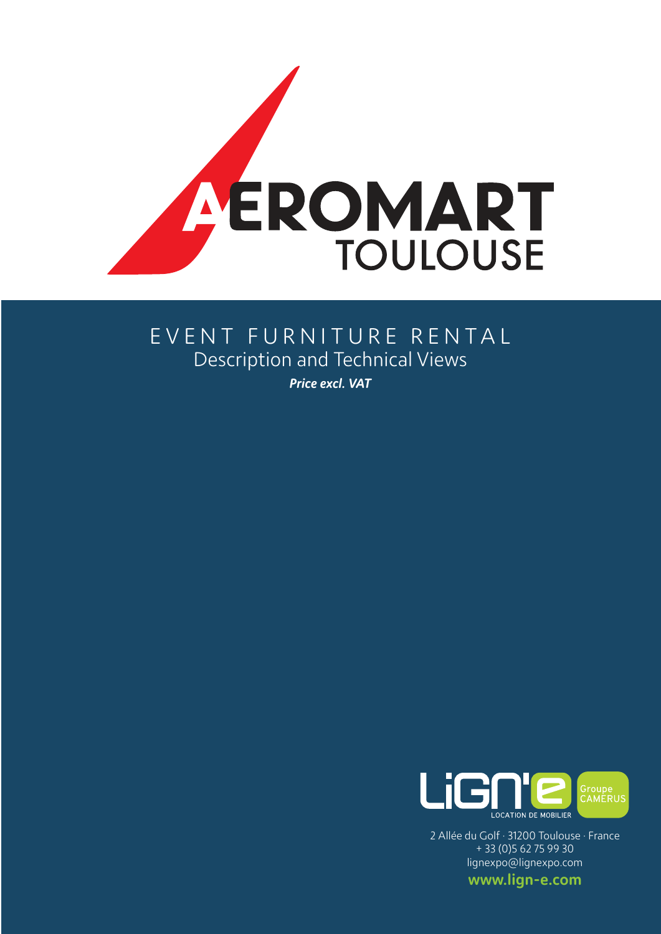

# EVENT FURNITURE RENTAL Description and Technical Views

*Price excl. VAT*



2 Allée du Golf · 31200 Toulouse · France + 33 (0)5 62 75 99 30 lignexpo@lignexpo.com

www.lign-e.com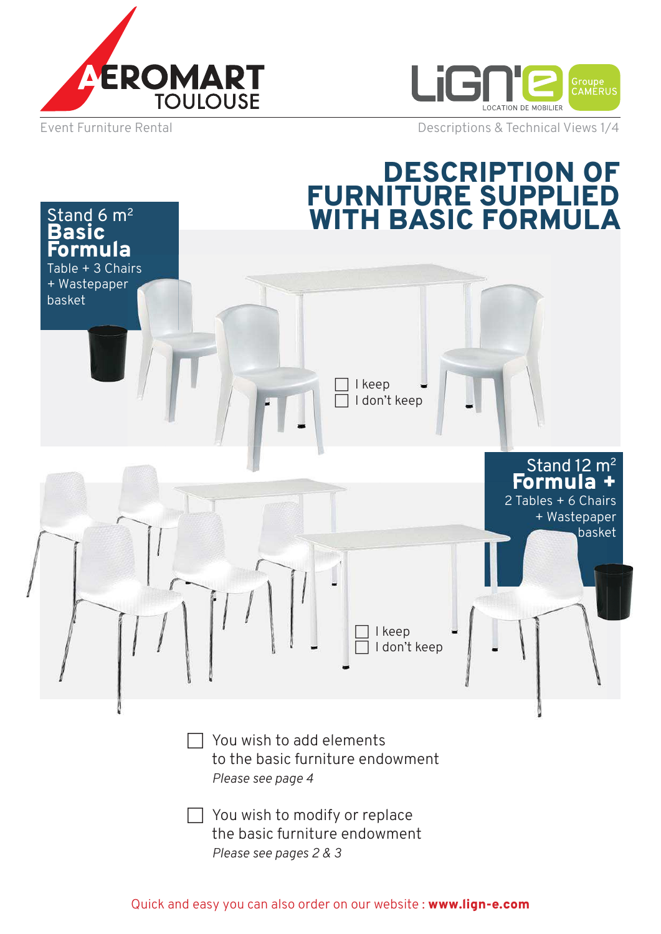



Stand  $6 \text{ m}^2$ 

Event Furniture Rental **Exercise 2018** Descriptions & Technical Views 1/4

# DESCRIPTION OF FURNITURE SUPPLIED WITH BASIC FORMULA

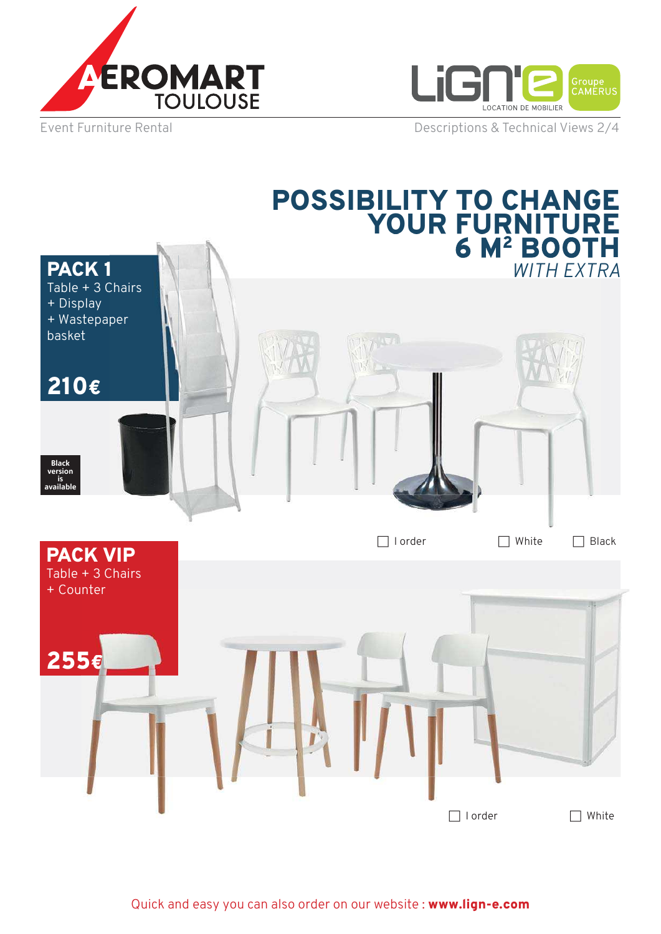



Table + 3 Chairs

Event Furniture Rental **Event Furniture Rental** Descriptions & Technical Views 2/4

# POSSIBILITY TO CHANGE YOUR FURNITURE 6 M<sup>2</sup> BOOTH PACK 1 *WITH EXTRA* **WITH EXTRA**



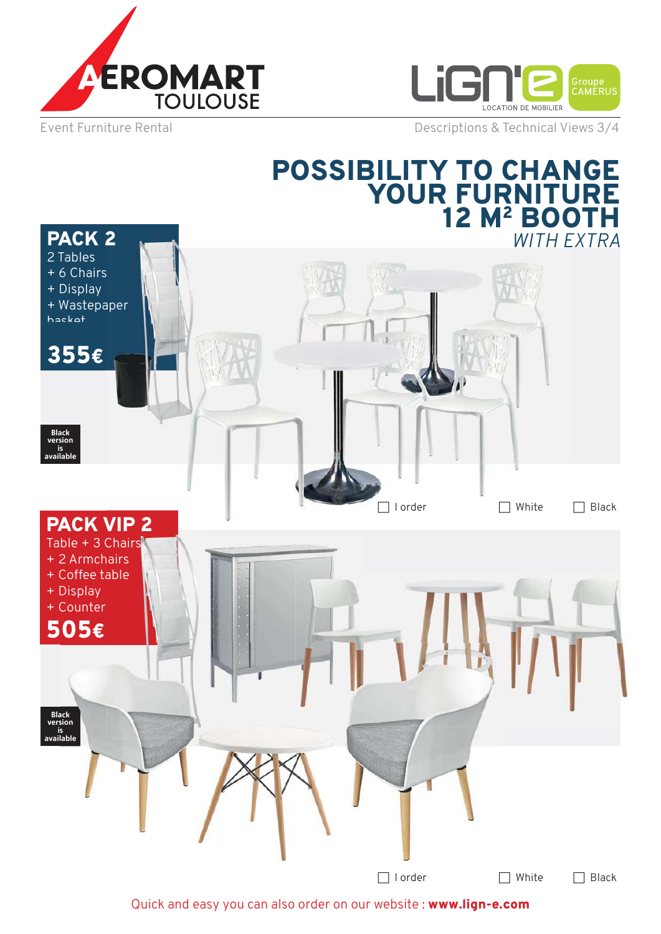



PACK 2

Event Furniture Rental **Event Furniture Rental** Descriptions & Technical Views 3/4

# POSSIBILITY TO CHANGE YOUR FURNITURE 12 M<sup>2</sup> BOOTH *WITH EXTRA*



Quick and easy you can also order on our website : www.lign-e.com